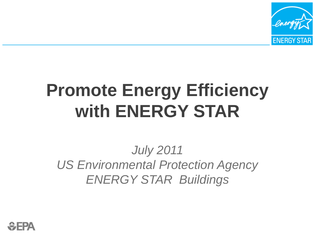

# **Promote Energy Efficiency with ENERGY STAR**

#### *July 2011 US Environmental Protection Agency ENERGY STAR Buildings*

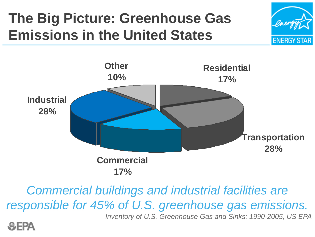## **The Big Picture: Greenhouse Gas Emissions in the United States**





*Commercial buildings and industrial facilities are responsible for 45% of U.S. greenhouse gas emissions.*

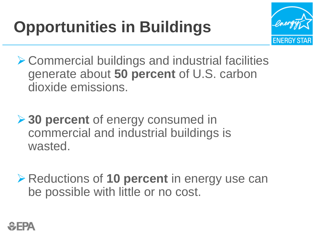# **Opportunities in Buildings**



- ▶ Commercial buildings and industrial facilities generate about **50 percent** of U.S. carbon dioxide emissions.
- **→ 30 percent** of energy consumed in commercial and industrial buildings is wasted.
- Reductions of **10 percent** in energy use can be possible with little or no cost.

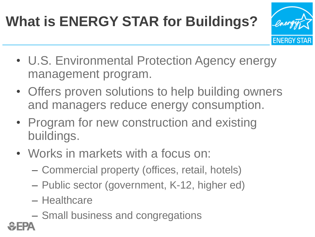# **What is ENERGY STAR for Buildings?**



- U.S. Environmental Protection Agency energy management program.
- Offers proven solutions to help building owners and managers reduce energy consumption.
- Program for new construction and existing buildings.
- Works in markets with a focus on: •
	- Commercial property (offices, retail, hotels)
	- Public sector (government, K-12, higher ed)
	- Healthcare
	- Small business and congregations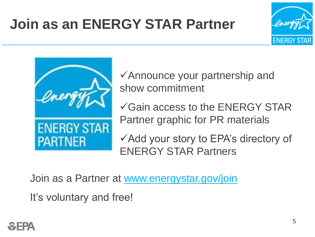## **Join as an ENERGY STAR Partner**





Announce your partnership and show commitment

 $\checkmark$  Gain access to the ENERGY STAR Partner graphic for PR materials

Add your story to EPA's directory of ENERGY STAR Partners

Join as a Partner at [www.energystar.gov/join](http://www.energystar.gov/join)

It's voluntary and free!

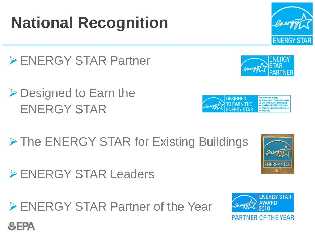# **National Recognition**

- ▶ ENERGY STAR Partner
- ▶ Designed to Earn the ENERGY STAR
- > The ENERGY STAR for Existing Buildings
- ENERGY STAR Leaders
- ENERGY STAR Partner of the Year









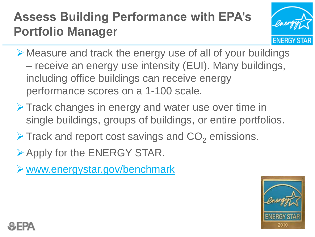#### **Assess Building Performance with EPA's Portfolio Manager**



- Measure and track the energy use of all of your buildings – receive an energy use intensity (EUI). Many buildings, including office buildings can receive energy performance scores on a 1-100 scale.
- **Track changes in energy and water use over time in** single buildings, groups of buildings, or entire portfolios.
- $\triangleright$  Track and report cost savings and  $CO<sub>2</sub>$  emissions.
- Apply for the ENERGY STAR.
- www.energystar.gov/benchmark



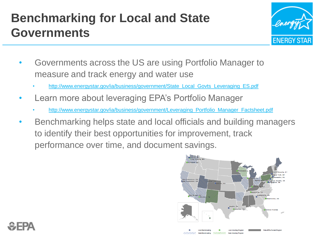#### **Benchmarking for Local and State Governments**



- Governments across the US are using Portfolio Manager to measure and track energy and water use
	- [http://www.energystar.gov/ia/business/government/State\\_Local\\_Govts\\_Leveraging\\_ES.pdf](http://www.energystar.gov/ia/business/government/State_Local_Govts_Leveraging_ES.pdf)
- Learn more about leveraging EPA's Portfolio Manager •
	- [http://www.energystar.gov/ia/business/government/Leveraging\\_Portfolio\\_Manager\\_Factsheet.pdf](http://www.energystar.gov/ia/business/government/Leveraging_Portfolio_Manager_Factsheet.pdf)
- Benchmarking helps state and local officials and building managers to identify their best opportunities for improvement, track performance over time, and document savings. •



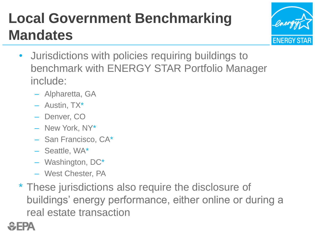## **Local Government Benchmarking Mandates**



- Jurisdictions with policies requiring buildings to benchmark with ENERGY STAR Portfolio Manager include:
	- Alpharetta, GA
	- Austin, TX\*
	- Denver, CO
	- New York, NY\*
	- San Francisco, CA\*
	- Seattle, WA\*
	- Washington, DC\*
	- West Chester, PA
- \* These jurisdictions also require the disclosure of buildings' energy performance, either online or during a real estate transaction

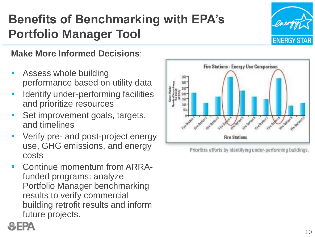#### **Benefits of Benchmarking with EPA's Portfolio Manager Tool**



#### **Make More Informed Decisions**:

- Assess whole building performance based on utility data
- Identify under-performing facilities and prioritize resources
- Set improvement goals, targets, and timelines
- Verify pre- and post-project energy use, GHG emissions, and energy costs
- Continue momentum from ARRAfunded programs: analyze Portfolio Manager benchmarking results to verify commercial building retrofit results and inform future projects.



Prioritize efforts by identifying under-performing buildings.

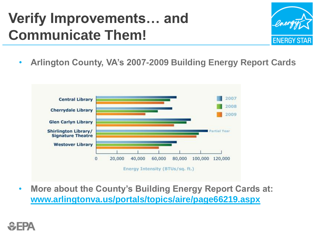#### **Verify Improvements… and Communicate Them!**



• **Arlington County, VA's 2007-2009 Building Energy Report Cards**



• **More about the County's Building Energy Report Cards at: [www.arlingtonva.us/portals/topics/aire/page66219.aspx](http://www.arlingtonva.us/portals/topics/aire/page66219.aspx)**

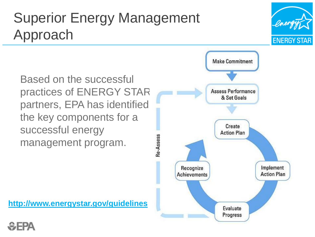#### Superior Energy Management Approach

Based on the successful practices of ENERGY STAR partners, EPA has identified the key components for a successful energy management program.

**<http://www.energystar.gov/guidelines>**





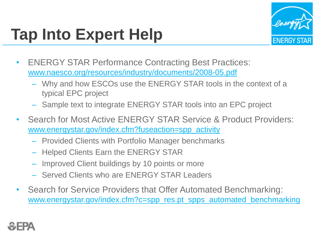# **Tap Into Expert Help**



- **ENERGY STAR Performance Contracting Best Practices:** [www.naesco.org/resources/industry/documents/2008-05.pdf](http://www.naesco.org/resources/industry/documents/2008-05.pdf)
	- Why and how ESCOs use the ENERGY STAR tools in the context of a typical EPC project
	- Sample text to integrate ENERGY STAR tools into an EPC project
- Search for Most Active ENERGY STAR Service & Product Providers: [www.energystar.gov/index.cfm?fuseaction=spp\\_activity](http://www.energystar.gov/index.cfm?fuseaction=spp_activity) •
	- Provided Clients with Portfolio Manager benchmarks
	- Helped Clients Earn the ENERGY STAR
	- Improved Client buildings by 10 points or more
	- Served Clients who are ENERGY STAR Leaders
- Search for Service Providers that Offer Automated Benchmarking: [www.energystar.gov/index.cfm?c=spp\\_res.pt\\_spps\\_automated\\_benchmarking](http://www.energystar.gov/index.cfm?c=spp_res.pt_spps_automated_benchmarking) •

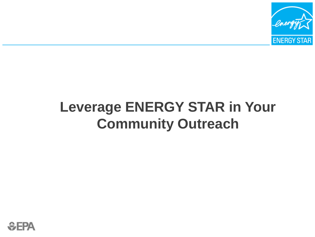

#### **Leverage ENERGY STAR in Your Community Outreach**

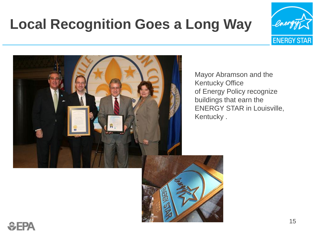## **Local Recognition Goes a Long Way**





Mayor Abramson and the Kentucky Office of Energy Policy recognize buildings that earn the ENERGY STAR in Louisville, Kentucky .



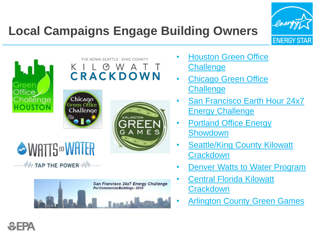

#### **Local Campaigns Engage Building Owners**













- [Houston Green Office](http://www.houstongoc.org/)  **[Challenge](http://www.houstongoc.org/)**
- [Chicago Green Office](http://www.chicagogreenofficechallenge.org/)  **[Challenge](http://www.chicagogreenofficechallenge.org/)** •
- [San Francisco Earth Hour 24x7](https://org2.democracyinaction.org/o/5035/images/Earth Hour Commercial Flyer and Entry Form v02 25 2009.2.pdf)  **[Energy Challenge](https://org2.democracyinaction.org/o/5035/images/Earth Hour Commercial Flyer and Entry Form v02 25 2009.2.pdf)** •
- [Portland Office Energy](http://betterbricks.com/DetailPage.aspx?ID=950)  **[Showdown](http://betterbricks.com/DetailPage.aspx?ID=950)** •
- [Seattle/King County Kilowatt](http://betterbricks.com/graphics/assets/documents/Kilowatt_Crackdown_Fact_Sheet-FINAL.pdf)  **[Crackdown](http://betterbricks.com/graphics/assets/documents/Kilowatt_Crackdown_Fact_Sheet-FINAL.pdf)**  $\bullet$
- [Denver Watts to Water Program](http://wattstowater.org/)  $\bullet$
- [Central Florida Kilowatt](http://www.orangecountyfl.net/cms/dept/cesrvcs/epd/cfeea/challenge.htm)  **[Crackdown](http://www.orangecountyfl.net/cms/dept/cesrvcs/epd/cfeea/challenge.htm)** •
- [Arlington County Green Games](http://www.arlingtongreengames.com/) •

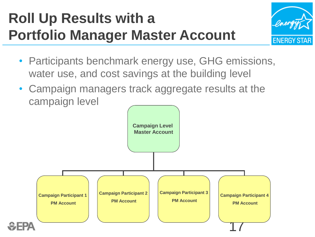## **Roll Up Results with a Portfolio Manager Master Account**



- Participants benchmark energy use, GHG emissions, water use, and cost savings at the building level
- Campaign managers track aggregate results at the campaign level

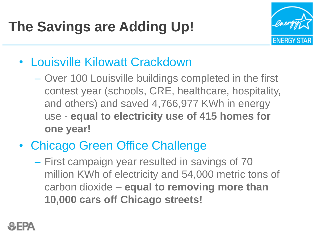

- Louisville Kilowatt Crackdown
	- Over 100 Louisville buildings completed in the first contest year (schools, CRE, healthcare, hospitality, and others) and saved 4,766,977 KWh in energy use - **equal to electricity use of 415 homes for one year!**
- Chicago Green Office Challenge •
	- First campaign year resulted in savings of 70 million KWh of electricity and 54,000 metric tons of carbon dioxide – **equal to removing more than 10,000 cars off Chicago streets!**

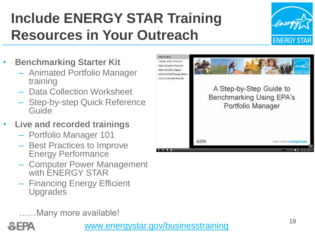## **Include ENERGY STAR Training Resources in Your Outreach**



- **Benchmarking Starter Kit**
	- Animated Portfolio Manager training
	- Data Collection Worksheet
	- Step-by-step Quick Reference Guide
- **Live and recorded trainings**
	- Portfolio Manager 101
	- Best Practices to Improve Energy Performance
	- Computer Power Management with ENERGY STAR
	- Financing Energy Efficient Upgrades

……Many more available!



[www.energystar.gov/businesstraining](http://www.energystar.gov/businesstraining)

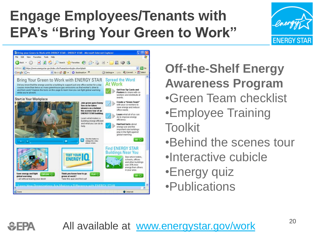## **Engage Employees/Tenants with EPA's "Bring Your Green to Work"**





**Off-the-Shelf Energy Awareness Program** •Green Team checklist •Employee Training Toolkit

•Behind the scenes tour

- •Interactive cubicle
- •Energy quiz
- •Publications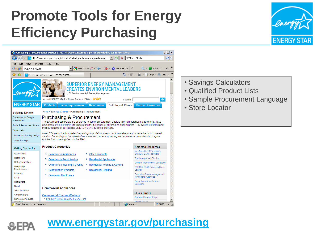#### **Promote Tools for Energy Efficiency Purchasing**



|                                                                                                                                                                       | ×<br>MEEA in a Minute<br>http://www.energystar.gov/index.cfm?c=bulk_purchasing.bus_purchasing                                                                                                                           | - ا هر                                |
|-----------------------------------------------------------------------------------------------------------------------------------------------------------------------|-------------------------------------------------------------------------------------------------------------------------------------------------------------------------------------------------------------------------|---------------------------------------|
| File<br>Edit<br>View                                                                                                                                                  | Tools                                                                                                                                                                                                                   |                                       |
| Favorites<br>Google<br>MEEA in a Minute                                                                                                                               | Help<br>▼ Search ▼ ※ → ● → ● → ● → ☆ Bookmarks → → →                                                                                                                                                                    | $\blacksquare$ nlovri $\tau$<br>Links |
| ✿<br>45<br>巧                                                                                                                                                          | ☆ 同 ・ 鳥 ・ 砂 Bage ・ ⊙ Tools ・<br>Purchasing & Procurement : ENERGY STAR                                                                                                                                                  |                                       |
|                                                                                                                                                                       | <b>SUPERIOR ENERGY MANAGEMENT</b><br>CREATES ENVIRONMENTAL LEADERS<br>U.S. Environmental Protection Agency<br>About ENERGY STAR - News Room - FAQs - 2003<br>Search                                                     | Go                                    |
| <b>ENERGY STAR</b>                                                                                                                                                    | <b>Products</b><br><b>Home Improvement</b><br><b>New Homes</b><br><b>Buildings &amp; Plants</b><br>Home > Buildings & Plants > Purchasing & Procurement                                                                 | <b>Partner Resources</b>              |
| <b>Buildings &amp; Plants</b>                                                                                                                                         |                                                                                                                                                                                                                         |                                       |
| Guidelines for Energy<br>Management                                                                                                                                   | <b>Purchasing &amp; Procurement</b><br>The EPA resources below are designed to assist procurement officials in smart purchasing decisions. Take                                                                         |                                       |
| Tools & Resources Library                                                                                                                                             | advantage of online training to understand the full range of purchasing opportunities. Review case studies and<br>the key benefits of purchasing ENERGY STAR-qualified products.                                        |                                       |
| <b>Expert Help</b>                                                                                                                                                    |                                                                                                                                                                                                                         |                                       |
|                                                                                                                                                                       |                                                                                                                                                                                                                         |                                       |
|                                                                                                                                                                       | Note: EPA periodically updates the savings calculators; check back to make sure you have the most updated<br>version. Depending on the speed of your Internet connection, saving the calculators to your desktop may be |                                       |
| Commercial Building Design<br><b>Green Buildings</b>                                                                                                                  | quicker than opening them on the Web.                                                                                                                                                                                   |                                       |
| Getting Started for                                                                                                                                                   | <b>Product Categories</b><br><b>Selected Resources</b>                                                                                                                                                                  |                                       |
|                                                                                                                                                                       | <b>ENERGY STAR Products</b><br><b>Commercial Appliances</b><br><b>Office Products</b><br>¥<br>×.                                                                                                                        | Key Benefits of Purchasing            |
|                                                                                                                                                                       | <b>Purchasing Case Studies</b><br><b>Commercial Food Service</b><br><b>Residential Appliances</b><br>×.                                                                                                                 |                                       |
|                                                                                                                                                                       |                                                                                                                                                                                                                         | Generic Procurement Language          |
|                                                                                                                                                                       | ¥<br><b>Commercial Heating &amp; Cooling</b><br>¥.<br><b>Residential Heating &amp; Cooling</b><br><b>Construction Products</b><br><b>*</b> Residential Lighting<br>Locator                                              | <b>ENERGY STAR Products Store</b>     |
|                                                                                                                                                                       | <b>Consumer Electronics</b><br>¥                                                                                                                                                                                        | Computer Power Management             |
|                                                                                                                                                                       | for Federal Agencies                                                                                                                                                                                                    |                                       |
|                                                                                                                                                                       | Get a Quote from Product<br>Suppliers                                                                                                                                                                                   |                                       |
|                                                                                                                                                                       | <b>Commercial Appliances</b>                                                                                                                                                                                            |                                       |
| Government<br>Healthcare<br><b>Higher Education</b><br>Hospitality/<br>Entertainment<br>Industrial<br>$K-12$<br><b>Real Estate</b><br>Retail<br><b>Small Business</b> | <b>Quick Finder</b>                                                                                                                                                                                                     |                                       |
| Congregations<br>Service & Products                                                                                                                                   | <b>Commercial Clothes Washers</b><br>Portfolio Manager Login<br><b>ENERGY STAR-Qualified Model List</b>                                                                                                                 |                                       |

- Savings Calculators
- Qualified Product Lists
- Sample Procurement Language
- Store Locator



#### **[www.energystar.gov/purchasing](http://www.energystar.gov/purchasing)**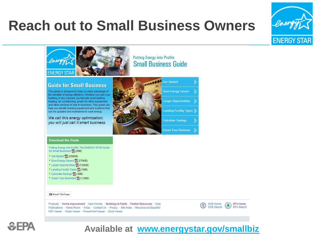#### **Reach out to Small Business Owners**







#### **Available at [www.energystar.gov/smallbiz](http://www.energystar.gov/smallbiz)**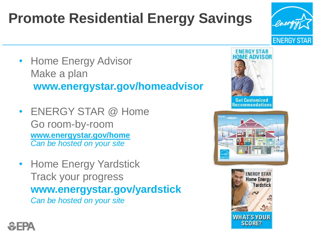## **Promote Residential Energy Savings**

- Home Energy Advisor Make a plan **www.energystar.gov/homeadvisor**
- ENERGY STAR @ Home Go room-by-room **[www.energystar.gov/home](http://www.energystar.gov/home)** *Can be hosted on your site*
- Home Energy Yardstick Track your progress **www.energystar.gov/yardstick** *Can be hosted on your site*



**ENERGY STAR** 





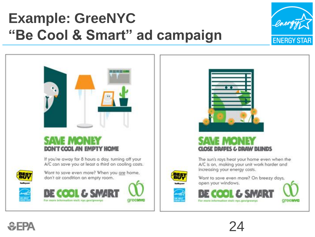## **Example: GreeNYC "Be Cool & Smart" ad campaign**







#### CLOSE DRAPES & DRAW BLINDS

The sun's rays heat your home even when the A/C is on, making your unit work harder and increasing your energy costs.



Want to save even more? On breezy days, open your windows.







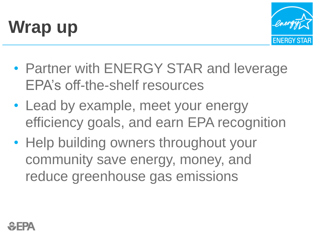



- Partner with ENERGY STAR and leverage EPA's off-the-shelf resources
- Lead by example, meet your energy efficiency goals, and earn EPA recognition
- Help building owners throughout your community save energy, money, and reduce greenhouse gas emissions